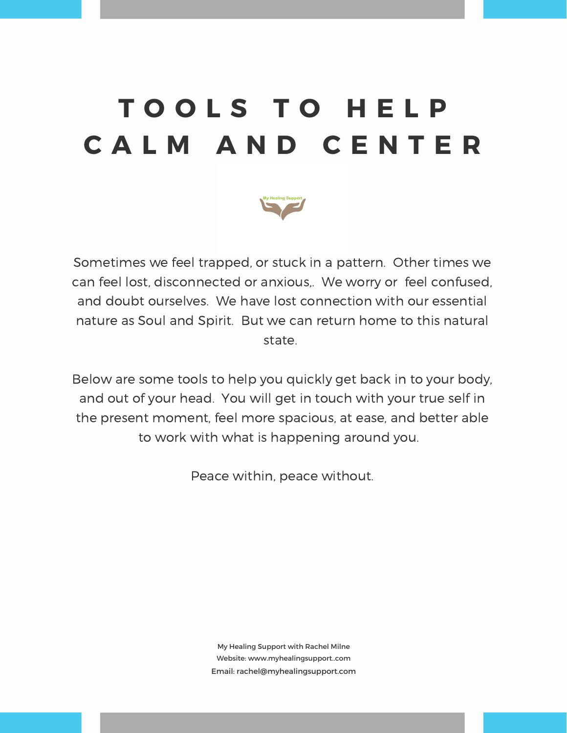## **T O O L S T O H E L P C A L M A N D C E N T E R**



Sometimes we feel trapped, or stuck in a pattern. Other times we can feel lost, disconnected or anxious,. We worry or feel confused, and doubt ourselves. We have lost connection with our essential nature as Soul and Spirit. But we can return home to this natural state.

Below are some tools to help you quickly get back in to your body, and out of your head. You will get in touch with your true self in the present moment, feel more spacious, at ease, and better able to work with what is happening around you.

Peace within, peace without.

My Healing Support with Rachel Milne Website: www.myhealingsupport..com Email: rachel@myhealingsupport.com